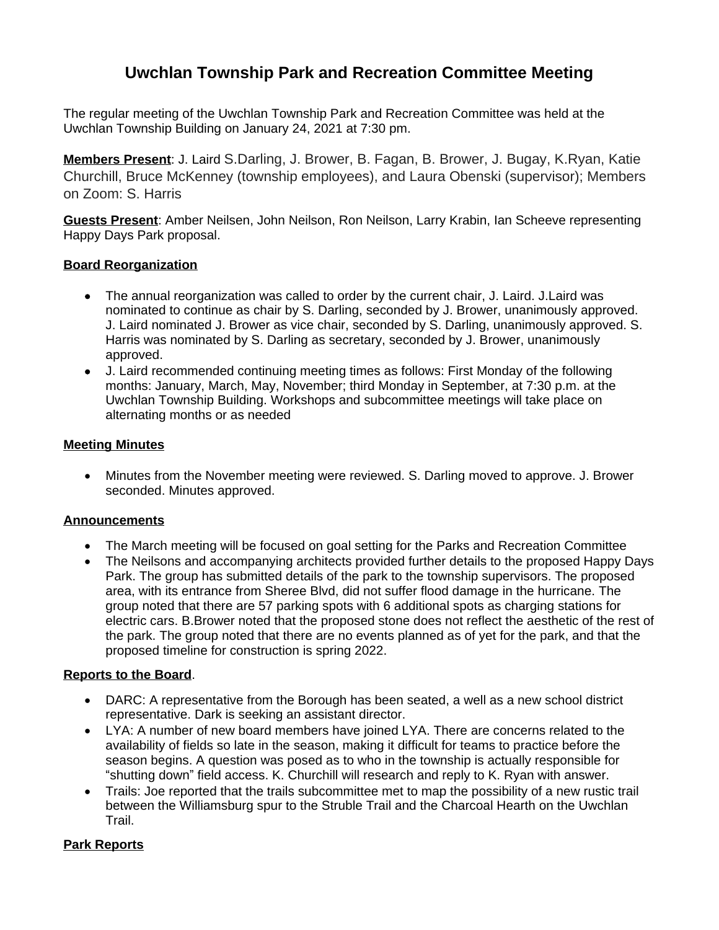# **Uwchlan Township Park and Recreation Committee Meeting**

The regular meeting of the Uwchlan Township Park and Recreation Committee was held at the Uwchlan Township Building on January 24, 2021 at 7:30 pm.

**Members Present**: J. Laird S.Darling, J. Brower, B. Fagan, B. Brower, J. Bugay, K.Ryan, Katie Churchill, Bruce McKenney (township employees), and Laura Obenski (supervisor); Members on Zoom: S. Harris

**Guests Present**: Amber Neilsen, John Neilson, Ron Neilson, Larry Krabin, Ian Scheeve representing Happy Days Park proposal.

# **Board Reorganization**

- The annual reorganization was called to order by the current chair, J. Laird. J. Laird was nominated to continue as chair by S. Darling, seconded by J. Brower, unanimously approved. J. Laird nominated J. Brower as vice chair, seconded by S. Darling, unanimously approved. S. Harris was nominated by S. Darling as secretary, seconded by J. Brower, unanimously approved.
- J. Laird recommended continuing meeting times as follows: First Monday of the following months: January, March, May, November; third Monday in September, at 7:30 p.m. at the Uwchlan Township Building. Workshops and subcommittee meetings will take place on alternating months or as needed

#### **Meeting Minutes**

 Minutes from the November meeting were reviewed. S. Darling moved to approve. J. Brower seconded. Minutes approved.

#### **Announcements**

- The March meeting will be focused on goal setting for the Parks and Recreation Committee
- The Neilsons and accompanying architects provided further details to the proposed Happy Days Park. The group has submitted details of the park to the township supervisors. The proposed area, with its entrance from Sheree Blvd, did not suffer flood damage in the hurricane. The group noted that there are 57 parking spots with 6 additional spots as charging stations for electric cars. B.Brower noted that the proposed stone does not reflect the aesthetic of the rest of the park. The group noted that there are no events planned as of yet for the park, and that the proposed timeline for construction is spring 2022.

#### **Reports to the Board**.

- DARC: A representative from the Borough has been seated, a well as a new school district representative. Dark is seeking an assistant director.
- LYA: A number of new board members have joined LYA. There are concerns related to the availability of fields so late in the season, making it difficult for teams to practice before the season begins. A question was posed as to who in the township is actually responsible for "shutting down" field access. K. Churchill will research and reply to K. Ryan with answer.
- Trails: Joe reported that the trails subcommittee met to map the possibility of a new rustic trail between the Williamsburg spur to the Struble Trail and the Charcoal Hearth on the Uwchlan Trail.

#### **Park Reports**